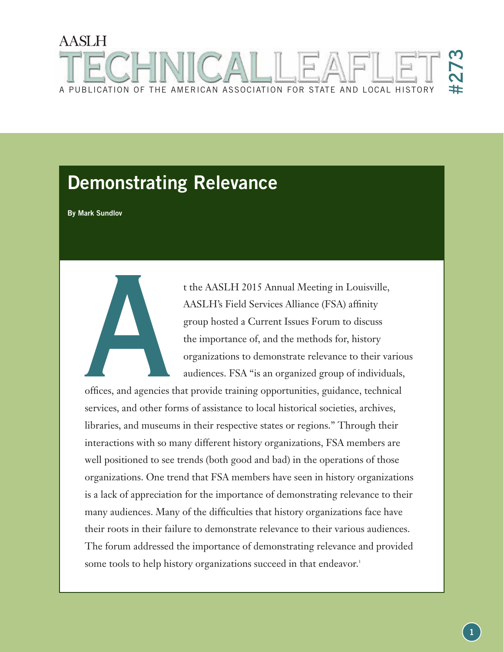# AASLH #273 A PUBLICATION OF THE AMERICAN ASSOCIATION FOR STATE AND LOCAL HISTORY

# **Demonstrating Relevance**

**By Mark Sundlov**

t the AASLH 2015 Annual Meeting in Louisville, AASLH's Field Services Alliance (FSA) affinity group hosted a Current Issues Forum to discuss the importance of, and the methods for, history organizations to demonstrate relevance to their various audiences. FSA "is an organized group of individuals,

offices, and agencies that provide training opportunities, guidance, technical services, and other forms of assistance to local historical societies, archives, libraries, and museums in their respective states or regions." Through their interactions with so many different history organizations, FSA members are well positioned to see trends (both good and bad) in the operations of those organizations. One trend that FSA members have seen in history organizations is a lack of appreciation for the importance of demonstrating relevance to their many audiences. Many of the difficulties that history organizations face have their roots in their failure to demonstrate relevance to their various audiences. The forum addressed the importance of demonstrating relevance and provided some tools to help history organizations succeed in that endeavor.<sup>1</sup> offices, and agencies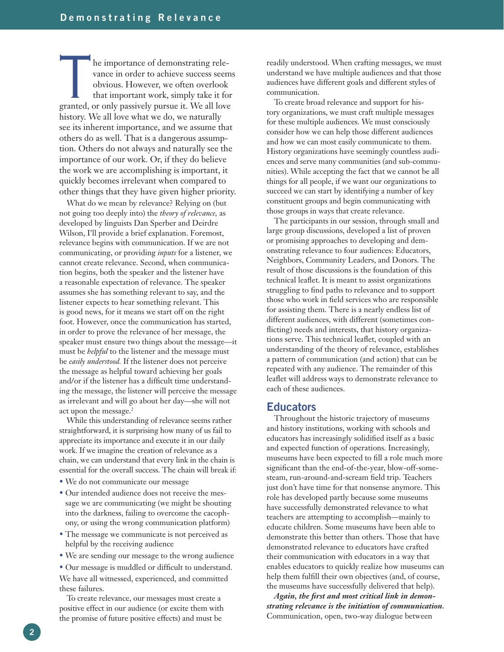The importance of demonstrating relevance in order to achieve success seems obvious. However, we often overlook that important work, simply take it for granted, or only passively pursue it. We all love vance in order to achieve success seems obvious. However, we often overlook that important work, simply take it for history. We all love what we do, we naturally see its inherent importance, and we assume that others do as well. That is a dangerous assumption. Others do not always and naturally see the importance of our work. Or, if they do believe the work we are accomplishing is important, it quickly becomes irrelevant when compared to other things that they have given higher priority.

What do we mean by relevance? Relying on (but not going too deeply into) the *theory of relevance,* as developed by linguists Dan Sperber and Deirdre Wilson, I'll provide a brief explanation. Foremost, relevance begins with communication. If we are not communicating, or providing *inputs* for a listener, we cannot create relevance. Second, when communication begins, both the speaker and the listener have a reasonable expectation of relevance. The speaker assumes she has something relevant to say, and the listener expects to hear something relevant. This is good news, for it means we start off on the right foot. However, once the communication has started, in order to prove the relevance of her message, the speaker must ensure two things about the message—it must be *helpful* to the listener and the message must be *easily understood.* If the listener does not perceive the message as helpful toward achieving her goals and/or if the listener has a difficult time understanding the message, the listener will perceive the message as irrelevant and will go about her day—she will not act upon the message.<sup>2</sup>

While this understanding of relevance seems rather straightforward, it is surprising how many of us fail to appreciate its importance and execute it in our daily work. If we imagine the creation of relevance as a chain, we can understand that every link in the chain is essential for the overall success. The chain will break if:

- We do not communicate our message
- Our intended audience does not receive the message we are communicating (we might be shouting into the darkness, failing to overcome the cacophony, or using the wrong communication platform)
- The message we communicate is not perceived as helpful by the receiving audience
- We are sending our message to the wrong audience

• Our message is muddled or difficult to understand. We have all witnessed, experienced, and committed these failures.

To create relevance, our messages must create a positive effect in our audience (or excite them with the promise of future positive effects) and must be

readily understood. When crafting messages, we must understand we have multiple audiences and that those audiences have different goals and different styles of communication.

To create broad relevance and support for history organizations, we must craft multiple messages for these multiple audiences. We must consciously consider how we can help those different audiences and how we can most easily communicate to them. History organizations have seemingly countless audiences and serve many communities (and sub-communities). While accepting the fact that we cannot be all things for all people, if we want our organizations to succeed we can start by identifying a number of key constituent groups and begin communicating with those groups in ways that create relevance.

The participants in our session, through small and large group discussions, developed a list of proven or promising approaches to developing and demonstrating relevance to four audiences: Educators, Neighbors, Community Leaders, and Donors. The result of those discussions is the foundation of this technical leaflet. It is meant to assist organizations struggling to find paths to relevance and to support those who work in field services who are responsible for assisting them. There is a nearly endless list of different audiences, with different (sometimes conflicting) needs and interests, that history organizations serve. This technical leaflet, coupled with an understanding of the theory of relevance, establishes a pattern of communication (and action) that can be repeated with any audience. The remainder of this leaflet will address ways to demonstrate relevance to each of these audiences.

#### **Educators**

Throughout the historic trajectory of museums and history institutions, working with schools and educators has increasingly solidified itself as a basic and expected function of operations. Increasingly, museums have been expected to fill a role much more significant than the end-of-the-year, blow-off-somesteam, run-around-and-scream field trip. Teachers just don't have time for that nonsense anymore. This role has developed partly because some museums have successfully demonstrated relevance to what teachers are attempting to accomplish—mainly to educate children. Some museums have been able to demonstrate this better than others. Those that have demonstrated relevance to educators have crafted their communication with educators in a way that enables educators to quickly realize how museums can help them fulfill their own objectives (and, of course, the museums have successfully delivered that help).

*Again, the first and most critical link in demonstrating relevance is the initiation of communication.*  Communication, open, two-way dialogue between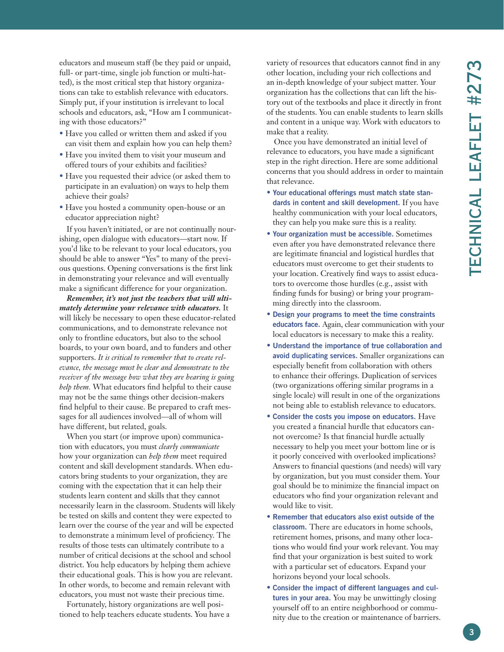educators and museum staff (be they paid or unpaid, full- or part-time, single job function or multi-hatted), is the most critical step that history organizations can take to establish relevance with educators. Simply put, if your institution is irrelevant to local schools and educators, ask, "How am I communicating with those educators?"

- Have you called or written them and asked if you can visit them and explain how you can help them?
- Have you invited them to visit your museum and offered tours of your exhibits and facilities?
- Have you requested their advice (or asked them to participate in an evaluation) on ways to help them achieve their goals?
- Have you hosted a community open-house or an educator appreciation night?

If you haven't initiated, or are not continually nourishing, open dialogue with educators—start now. If you'd like to be relevant to your local educators, you should be able to answer "Yes" to many of the previous questions. Opening conversations is the first link in demonstrating your relevance and will eventually make a significant difference for your organization.

*Remember, it's not just the teachers that will ultimately determine your relevance with educators.* It will likely be necessary to open these educator-related communications, and to demonstrate relevance not only to frontline educators, but also to the school boards, to your own board, and to funders and other supporters. *It is critical to remember that to create relevance, the message must be clear and demonstrate to the receiver of the message how what they are hearing is going help them.* What educators find helpful to their cause may not be the same things other decision-makers find helpful to their cause. Be prepared to craft messages for all audiences involved—all of whom will have different, but related, goals.

When you start (or improve upon) communication with educators, you must *clearly communicate*  how your organization can *help them* meet required content and skill development standards. When educators bring students to your organization, they are coming with the expectation that it can help their students learn content and skills that they cannot necessarily learn in the classroom. Students will likely be tested on skills and content they were expected to learn over the course of the year and will be expected to demonstrate a minimum level of proficiency. The results of those tests can ultimately contribute to a number of critical decisions at the school and school district. You help educators by helping them achieve their educational goals. This is how you are relevant. In other words, to become and remain relevant with educators, you must not waste their precious time.

Fortunately, history organizations are well positioned to help teachers educate students. You have a variety of resources that educators cannot find in any other location, including your rich collections and an in-depth knowledge of your subject matter. Your organization has the collections that can lift the history out of the textbooks and place it directly in front of the students. You can enable students to learn skills and content in a unique way. Work with educators to make that a reality.

Once you have demonstrated an initial level of relevance to educators, you have made a significant step in the right direction. Here are some additional concerns that you should address in order to maintain that relevance.

- **Your educational offerings must match state standards in content and skill development.** If you have healthy communication with your local educators, they can help you make sure this is a reality.
- **Your organization must be accessible.** Sometimes even after you have demonstrated relevance there are legitimate financial and logistical hurdles that educators must overcome to get their students to your location. Creatively find ways to assist educators to overcome those hurdles (e.g., assist with finding funds for busing) or bring your programming directly into the classroom.
- **Design your programs to meet the time constraints educators face.** Again, clear communication with your local educators is necessary to make this a reality.
- **Understand the importance of true collaboration and avoid duplicating services.** Smaller organizations can especially benefit from collaboration with others to enhance their offerings. Duplication of services (two organizations offering similar programs in a single locale) will result in one of the organizations not being able to establish relevance to educators.
- **Consider the costs you impose on educators.** Have you created a financial hurdle that educators cannot overcome? Is that financial hurdle actually necessary to help you meet your bottom line or is it poorly conceived with overlooked implications? Answers to financial questions (and needs) will vary by organization, but you must consider them. Your goal should be to minimize the financial impact on educators who find your organization relevant and would like to visit.
- **Remember that educators also exist outside of the classroom.** There are educators in home schools, retirement homes, prisons, and many other locations who would find your work relevant. You may find that your organization is best suited to work with a particular set of educators. Expand your horizons beyond your local schools.
- **Consider the impact of different languages and cultures in your area.** You may be unwittingly closing yourself off to an entire neighborhood or community due to the creation or maintenance of barriers.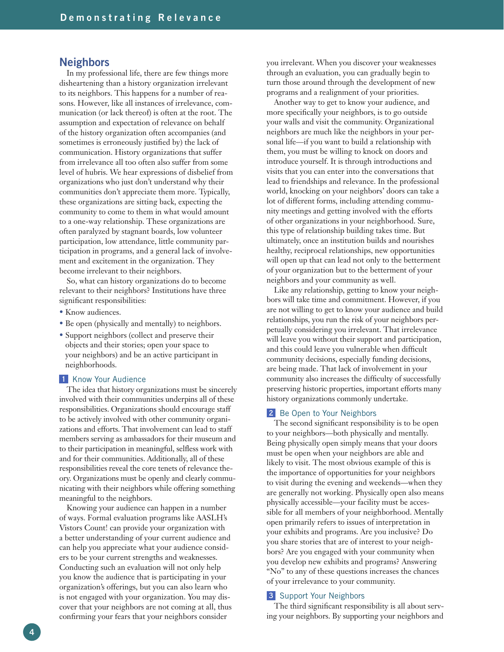#### **Neighbors**

In my professional life, there are few things more disheartening than a history organization irrelevant to its neighbors. This happens for a number of reasons. However, like all instances of irrelevance, communication (or lack thereof) is often at the root. The assumption and expectation of relevance on behalf of the history organization often accompanies (and sometimes is erroneously justified by) the lack of communication. History organizations that suffer from irrelevance all too often also suffer from some level of hubris. We hear expressions of disbelief from organizations who just don't understand why their communities don't appreciate them more. Typically, these organizations are sitting back, expecting the community to come to them in what would amount to a one-way relationship. These organizations are often paralyzed by stagnant boards, low volunteer participation, low attendance, little community participation in programs, and a general lack of involvement and excitement in the organization. They become irrelevant to their neighbors.

So, what can history organizations do to become relevant to their neighbors? Institutions have three significant responsibilities:

- Know audiences.
- Be open (physically and mentally) to neighbors.
- Support neighbors (collect and preserve their objects and their stories; open your space to your neighbors) and be an active participant in neighborhoods.

#### **1** Know Your Audience

The idea that history organizations must be sincerely involved with their communities underpins all of these responsibilities. Organizations should encourage staff to be actively involved with other community organizations and efforts. That involvement can lead to staff members serving as ambassadors for their museum and to their participation in meaningful, selfless work with and for their communities. Additionally, all of these responsibilities reveal the core tenets of relevance theory. Organizations must be openly and clearly communicating with their neighbors while offering something meaningful to the neighbors.

Knowing your audience can happen in a number of ways. Formal evaluation programs like AASLH's Vistors Count! can provide your organization with a better understanding of your current audience and can help you appreciate what your audience considers to be your current strengths and weaknesses. Conducting such an evaluation will not only help you know the audience that is participating in your organization's offerings, but you can also learn who is not engaged with your organization. You may discover that your neighbors are not coming at all, thus confirming your fears that your neighbors consider

you irrelevant. When you discover your weaknesses through an evaluation, you can gradually begin to turn those around through the development of new programs and a realignment of your priorities.

Another way to get to know your audience, and more specifically your neighbors, is to go outside your walls and visit the community. Organizational neighbors are much like the neighbors in your personal life—if you want to build a relationship with them, you must be willing to knock on doors and introduce yourself. It is through introductions and visits that you can enter into the conversations that lead to friendships and relevance. In the professional world, knocking on your neighbors' doors can take a lot of different forms, including attending community meetings and getting involved with the efforts of other organizations in your neighborhood. Sure, this type of relationship building takes time. But ultimately, once an institution builds and nourishes healthy, reciprocal relationships, new opportunities will open up that can lead not only to the betterment of your organization but to the betterment of your neighbors and your community as well.

Like any relationship, getting to know your neighbors will take time and commitment. However, if you are not willing to get to know your audience and build relationships, you run the risk of your neighbors perpetually considering you irrelevant. That irrelevance will leave you without their support and participation, and this could leave you vulnerable when difficult community decisions, especially funding decisions, are being made. That lack of involvement in your community also increases the difficulty of successfully preserving historic properties, important efforts many history organizations commonly undertake.

#### 2 Be Open to Your Neighbors

The second significant responsibility is to be open to your neighbors—both physically and mentally. Being physically open simply means that your doors must be open when your neighbors are able and likely to visit. The most obvious example of this is the importance of opportunities for your neighbors to visit during the evening and weekends—when they are generally not working. Physically open also means physically accessible—your facility must be accessible for all members of your neighborhood. Mentally open primarily refers to issues of interpretation in your exhibits and programs. Are you inclusive? Do you share stories that are of interest to your neighbors? Are you engaged with your community when you develop new exhibits and programs? Answering "No" to any of these questions increases the chances of your irrelevance to your community.

#### **3** Support Your Neighbors

The third significant responsibility is all about serving your neighbors. By supporting your neighbors and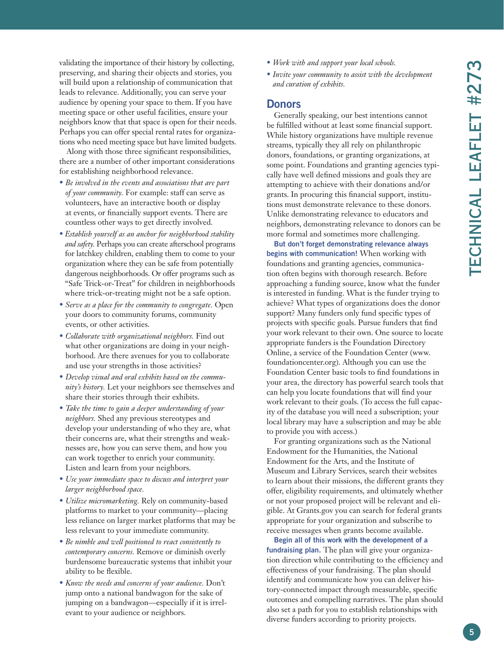validating the importance of their history by collecting, preserving, and sharing their objects and stories, you will build upon a relationship of communication that leads to relevance. Additionally, you can serve your audience by opening your space to them. If you have meeting space or other useful facilities, ensure your neighbors know that that space is open for their needs. Perhaps you can offer special rental rates for organizations who need meeting space but have limited budgets.

Along with those three significant responsibilities, there are a number of other important considerations for establishing neighborhood relevance.

- *Be involved in the events and associations that are part of your community.* For example: staff can serve as volunteers, have an interactive booth or display at events, or financially support events. There are countless other ways to get directly involved.
- *Establish yourself as an anchor for neighborhood stability and safety.* Perhaps you can create afterschool programs for latchkey children, enabling them to come to your organization where they can be safe from potentially dangerous neighborhoods. Or offer programs such as "Safe Trick-or-Treat" for children in neighborhoods where trick-or-treating might not be a safe option.
- *Serve as a place for the community to congregate.* Open your doors to community forums, community events, or other activities.
- *Collaborate with organizational neighbors.* Find out what other organizations are doing in your neighborhood. Are there avenues for you to collaborate and use your strengths in those activities?
- *Develop visual and oral exhibits based on the community's history.* Let your neighbors see themselves and share their stories through their exhibits.
- *Take the time to gain a deeper understanding of your neighbors.* Shed any previous stereotypes and develop your understanding of who they are, what their concerns are, what their strengths and weaknesses are, how you can serve them, and how you can work together to enrich your community. Listen and learn from your neighbors.
- *Use your immediate space to discuss and interpret your larger neighborhood space.*
- *Utilize micromarketing.* Rely on community-based platforms to market to your community—placing less reliance on larger market platforms that may be less relevant to your immediate community.
- *Be nimble and well positioned to react consistently to contemporary concerns.* Remove or diminish overly burdensome bureaucratic systems that inhibit your ability to be flexible.
- *Know the needs and concerns of your audience.* Don't jump onto a national bandwagon for the sake of jumping on a bandwagon—especially if it is irrelevant to your audience or neighbors.
- *Work with and support your local schools.*
- *Invite your community to assist with the development and curation of exhibits.*

#### **Donors**

Generally speaking, our best intentions cannot be fulfilled without at least some financial support. While history organizations have multiple revenue streams, typically they all rely on philanthropic donors, foundations, or granting organizations, at some point. Foundations and granting agencies typically have well defined missions and goals they are attempting to achieve with their donations and/or grants. In procuring this financial support, institutions must demonstrate relevance to these donors. Unlike demonstrating relevance to educators and neighbors, demonstrating relevance to donors can be more formal and sometimes more challenging.

**But don't forget demonstrating relevance always begins with communication!** When working with foundations and granting agencies, communication often begins with thorough research. Before approaching a funding source, know what the funder is interested in funding. What is the funder trying to achieve? What types of organizations does the donor support? Many funders only fund specific types of projects with specific goals. Pursue funders that find your work relevant to their own. One source to locate appropriate funders is the Foundation Directory Online, a service of the Foundation Center (www. foundationcenter.org). Although you can use the Foundation Center basic tools to find foundations in your area, the directory has powerful search tools that can help you locate foundations that will find your work relevant to their goals. (To access the full capacity of the database you will need a subscription; your local library may have a subscription and may be able to provide you with access.)

For granting organizations such as the National Endowment for the Humanities, the National Endowment for the Arts, and the Institute of Museum and Library Services, search their websites to learn about their missions, the different grants they offer, eligibility requirements, and ultimately whether or not your proposed project will be relevant and eligible. At Grants.gov you can search for federal grants appropriate for your organization and subscribe to receive messages when grants become available.

**Begin all of this work with the development of a fundraising plan.** The plan will give your organization direction while contributing to the efficiency and effectiveness of your fundraising. The plan should identify and communicate how you can deliver history-connected impact through measurable, specific outcomes and compelling narratives. The plan should also set a path for you to establish relationships with diverse funders according to priority projects.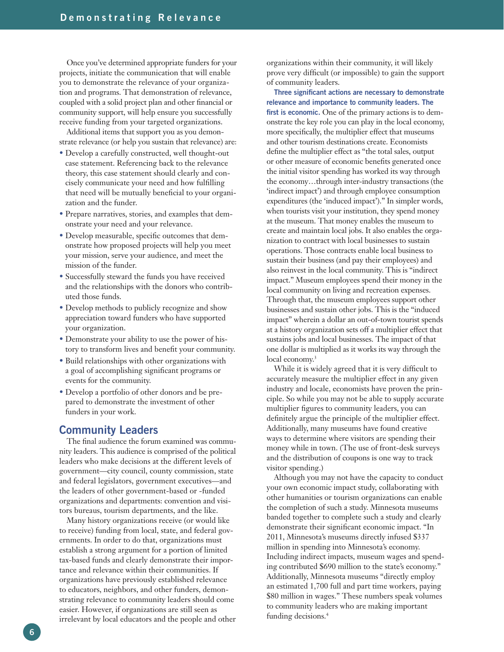Once you've determined appropriate funders for your projects, initiate the communication that will enable you to demonstrate the relevance of your organization and programs. That demonstration of relevance, coupled with a solid project plan and other financial or community support, will help ensure you successfully receive funding from your targeted organizations.

Additional items that support you as you demonstrate relevance (or help you sustain that relevance) are:

- Develop a carefully constructed, well thought-out case statement. Referencing back to the relevance theory, this case statement should clearly and concisely communicate your need and how fulfilling that need will be mutually beneficial to your organization and the funder.
- Prepare narratives, stories, and examples that demonstrate your need and your relevance.
- Develop measurable, specific outcomes that demonstrate how proposed projects will help you meet your mission, serve your audience, and meet the mission of the funder.
- Successfully steward the funds you have received and the relationships with the donors who contributed those funds.
- Develop methods to publicly recognize and show appreciation toward funders who have supported your organization.
- Demonstrate your ability to use the power of history to transform lives and benefit your community.
- Build relationships with other organizations with a goal of accomplishing significant programs or events for the community.
- Develop a portfolio of other donors and be prepared to demonstrate the investment of other funders in your work.

### **Community Leaders**

The final audience the forum examined was community leaders. This audience is comprised of the political leaders who make decisions at the different levels of government—city council, county commission, state and federal legislators, government executives—and the leaders of other government-based or -funded organizations and departments: convention and visitors bureaus, tourism departments, and the like.

Many history organizations receive (or would like to receive) funding from local, state, and federal governments. In order to do that, organizations must establish a strong argument for a portion of limited tax-based funds and clearly demonstrate their importance and relevance within their communities. If organizations have previously established relevance to educators, neighbors, and other funders, demonstrating relevance to community leaders should come easier. However, if organizations are still seen as irrelevant by local educators and the people and other

organizations within their community, it will likely prove very difficult (or impossible) to gain the support of community leaders.

**Three significant actions are necessary to demonstrate relevance and importance to community leaders. The first is economic.** One of the primary actions is to demonstrate the key role you can play in the local economy, more specifically, the multiplier effect that museums and other tourism destinations create. Economists define the multiplier effect as "the total sales, output or other measure of economic benefits generated once the initial visitor spending has worked its way through the economy…through inter-industry transactions (the 'indirect impact') and through employee consumption expenditures (the 'induced impact')." In simpler words, when tourists visit your institution, they spend money at the museum. That money enables the museum to create and maintain local jobs. It also enables the organization to contract with local businesses to sustain operations. Those contracts enable local business to sustain their business (and pay their employees) and also reinvest in the local community. This is "indirect impact." Museum employees spend their money in the local community on living and recreation expenses. Through that, the museum employees support other businesses and sustain other jobs. This is the "induced impact" wherein a dollar an out-of-town tourist spends at a history organization sets off a multiplier effect that sustains jobs and local businesses. The impact of that one dollar is multiplied as it works its way through the local economy.<sup>3</sup>

While it is widely agreed that it is very difficult to accurately measure the multiplier effect in any given industry and locale, economists have proven the principle. So while you may not be able to supply accurate multiplier figures to community leaders, you can definitely argue the principle of the multiplier effect. Additionally, many museums have found creative ways to determine where visitors are spending their money while in town. (The use of front-desk surveys and the distribution of coupons is one way to track visitor spending.)

Although you may not have the capacity to conduct your own economic impact study, collaborating with other humanities or tourism organizations can enable the completion of such a study. Minnesota museums banded together to complete such a study and clearly demonstrate their significant economic impact. "In 2011, Minnesota's museums directly infused \$337 million in spending into Minnesota's economy. Including indirect impacts, museum wages and spending contributed \$690 million to the state's economy." Additionally, Minnesota museums "directly employ an estimated 1,700 full and part time workers, paying \$80 million in wages." These numbers speak volumes to community leaders who are making important funding decisions.<sup>4</sup>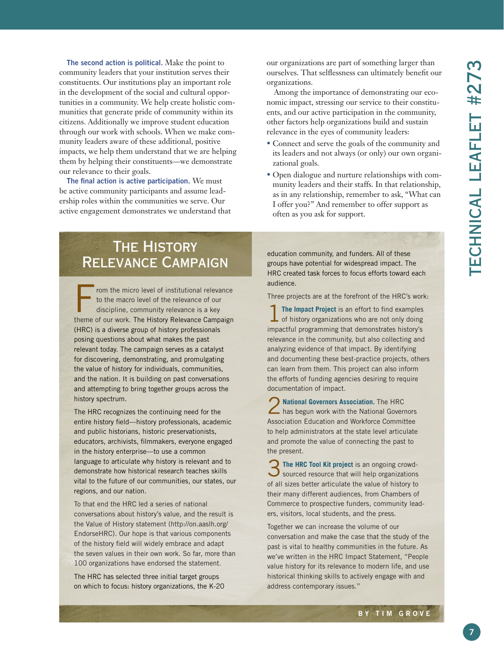**The second action is political.** Make the point to community leaders that your institution serves their constituents. Our institutions play an important role in the development of the social and cultural opportunities in a community. We help create holistic communities that generate pride of community within its citizens. Additionally we improve student education through our work with schools. When we make community leaders aware of these additional, positive impacts, we help them understand that we are helping them by helping their constituents—we demonstrate our relevance to their goals.

**The final action is active participation.** We must be active community participants and assume leadership roles within the communities we serve. Our active engagement demonstrates we understand that our organizations are part of something larger than ourselves. That selflessness can ultimately benefit our organizations.

Among the importance of demonstrating our economic impact, stressing our service to their constituents, and our active participation in the community, other factors help organizations build and sustain relevance in the eyes of community leaders:

- Connect and serve the goals of the community and its leaders and not always (or only) our own organizational goals.
- Open dialogue and nurture relationships with community leaders and their staffs. In that relationship, as in any relationship, remember to ask, "What can I offer you?" And remember to offer support as often as you ask for support.

# **THE HISTORY** Relevance Campaign

rom the micro level of institutional relevance to the macro level of the relevance of our discipline, community relevance is a key theme of our work. The History Relevance Campaign (HRC) is a diverse group of history professionals posing questions about what makes the past relevant today. The campaign serves as a catalyst for discovering, demonstrating, and promulgating the value of history for individuals, communities, and the nation. It is building on past conversations and attempting to bring together groups across the history spectrum.

The HRC recognizes the continuing need for the entire history field—history professionals, academic and public historians, historic preservationists, educators, archivists, filmmakers, everyone engaged in the history enterprise—to use a common language to articulate why history is relevant and to demonstrate how historical research teaches skills vital to the future of our communities, our states, our regions, and our nation.

To that end the HRC led a series of national conversations about history's value, and the result is the Value of History statement (http://on.aaslh.org/ EndorseHRC). Our hope is that various components of the history field will widely embrace and adapt the seven values in their own work. So far, more than 100 organizations have endorsed the statement.

The HRC has selected three initial target groups on which to focus: history organizations, the K-20 education community, and funders. All of these groups have potential for widespread impact. The HRC created task forces to focus efforts toward each audience.

Three projects are at the forefront of the HRC's work:

**The Impact Project** is an effort to find examples  $\perp$  of history organizations who are not only doing impactful programming that demonstrates history's relevance in the community, but also collecting and analyzing evidence of that impact. By identifying and documenting these best-practice projects, others can learn from them. This project can also inform the efforts of funding agencies desiring to require documentation of impact.

2 **National Governors Association.** The HRC has begun work with the National Governors Association Education and Workforce Committee to help administrators at the state level articulate and promote the value of connecting the past to the present.

**3** The HRC Tool Kit project is an ongoing crowd-<br>Sourced resource that will help organizations sourced resource that will help organizations of all sizes better articulate the value of history to their many different audiences, from Chambers of Commerce to prospective funders, community leaders, visitors, local students, and the press.

Together we can increase the volume of our conversation and make the case that the study of the past is vital to healthy communities in the future. As we've written in the HRC Impact Statement, "People value history for its relevance to modern life, and use historical thinking skills to actively engage with and address contemporary issues."